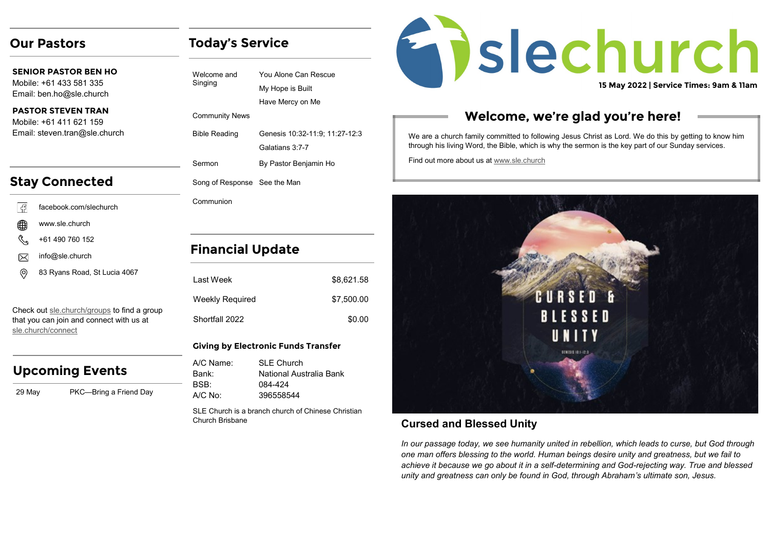## **Our Pastors**

**SENIOR PASTOR BEN HO** Mobile: +61 433 581 335 Email: ben.ho@sle.church

#### **PASTOR STEVEN TRAN**  Mobile: +61 411 621 159 Email: steven.tran@sle.church

# **Stay Connected**

| - 13                   | facebook.com/slechurch |
|------------------------|------------------------|
| ∰                      | www.sle.church         |
| $\mathbb{C}^{\bullet}$ | +61 490 760 152        |
| $\times$               | info@sle.church        |

```
83 Ryans Road, St Lucia 4067
(ම
```
Check out [sle.church/groups](https://sle.church/groups) to find a group that you can join and connect with us at [sle.church/connect](https://sle.church/connect)

## **Upcoming Events**

29 May PKC—Bring a Friend Day

| Welcome and<br>Singing       | You Alone Can Rescue<br>My Hope is Built<br>Have Mercy on Me |
|------------------------------|--------------------------------------------------------------|
| <b>Community News</b>        |                                                              |
| <b>Bible Reading</b>         | Genesis 10:32-11:9; 11:27-12:3<br>Galatians 3:7-7            |
| Sermon                       | By Pastor Benjamin Ho                                        |
| Song of Response See the Man |                                                              |
| Communion                    |                                                              |
|                              |                                                              |
|                              |                                                              |

## **Financial Update**

**Today's Service**

| I ast Week      | \$8,621.58 |
|-----------------|------------|
| Weekly Required | \$7,500.00 |
| Shortfall 2022  | \$0.00     |

#### **Giving by Electronic Funds Transfer**

| A/C Name: | SI F Church             |
|-----------|-------------------------|
| Bank:     | National Australia Bank |
| BSB:      | 084-424                 |
| A/C No:   | 396558544               |

SLE Church is a branch church of Chinese Christian Church Brisbane



## **Welcome, we're glad you're here!**

We are a church family committed to following Jesus Christ as Lord. We do this by getting to know him through his living Word, the Bible, which is why the sermon is the key part of our Sunday services.

Find out more about us at [www.sle.church](https://sle.church/)



## **Cursed and Blessed Unity**

*In our passage today, we see humanity united in rebellion, which leads to curse, but God through one man offers blessing to the world. Human beings desire unity and greatness, but we fail to achieve it because we go about it in a self-determining and God-rejecting way. True and blessed unity and greatness can only be found in God, through Abraham's ultimate son, Jesus.*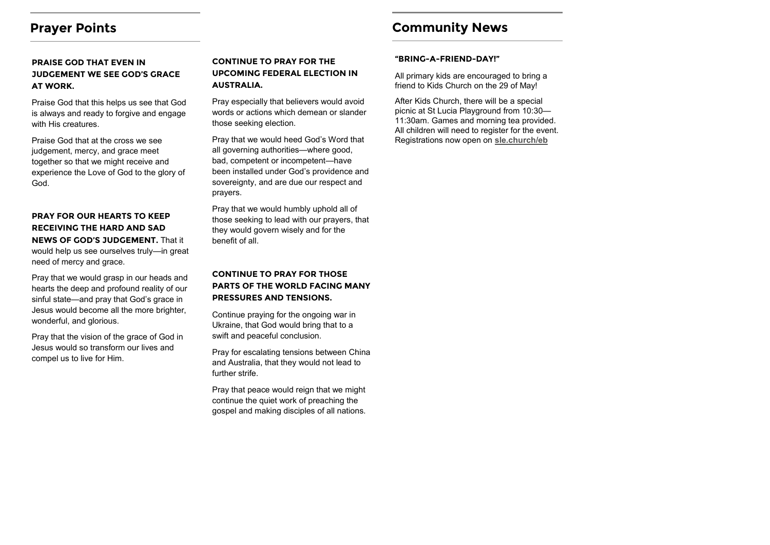## **Prayer Points**

### **PRAISE GOD THAT EVEN IN JUDGEMENT WE SEE GOD'S GRACE AT WORK.**

Praise God that this helps us see that God is always and ready to forgive and engage with His creatures.

Praise God that at the cross we see judgement, mercy, and grace meet together so that we might receive and experience the Love of God to the glory of God.

### **PRAY FOR OUR HEARTS TO KEEP RECEIVING THE HARD AND SAD NEWS OF GOD'S JUDGEMENT.** That it would help us see ourselves truly—in great need of mercy and grace.

Pray that we would grasp in our heads and hearts the deep and profound reality of our sinful state—and pray that God's grace in Jesus would become all the more brighter, wonderful, and glorious.

Pray that the vision of the grace of God in Jesus would so transform our lives and compel us to live for Him.

### **CONTINUE TO PRAY FOR THE UPCOMING FEDERAL ELECTION IN AUSTRALIA.**

Pray especially that believers would avoid words or actions which demean or slander those seeking election.

Pray that we would heed God's Word that all governing authorities—where good, bad, competent or incompetent—have been installed under God's providence and sovereignty, and are due our respect and prayers.

Pray that we would humbly uphold all of those seeking to lead with our prayers, that they would govern wisely and for the benefit of all.

### **CONTINUE TO PRAY FOR THOSE PARTS OF THE WORLD FACING MANY PRESSURES AND TENSIONS.**

Continue praying for the ongoing war in Ukraine, that God would bring that to a swift and peaceful conclusion.

Pray for escalating tensions between China and Australia, that they would not lead to further strife.

Pray that peace would reign that we might continue the quiet work of preaching the gospel and making disciples of all nations.

# **Community News**

#### **"BRING-A-FRIEND-DAY!"**

All primary kids are encouraged to bring a friend to Kids Church on the 29 of May!

After Kids Church, there will be a special picnic at St Lucia Playground from 10:30— 11:30am. Games and morning tea provided. All children will need to register for the event. Registrations now open on **[sle.church/eb](https://www.eventbrite.com.au/o/sle-church-17137096797)**